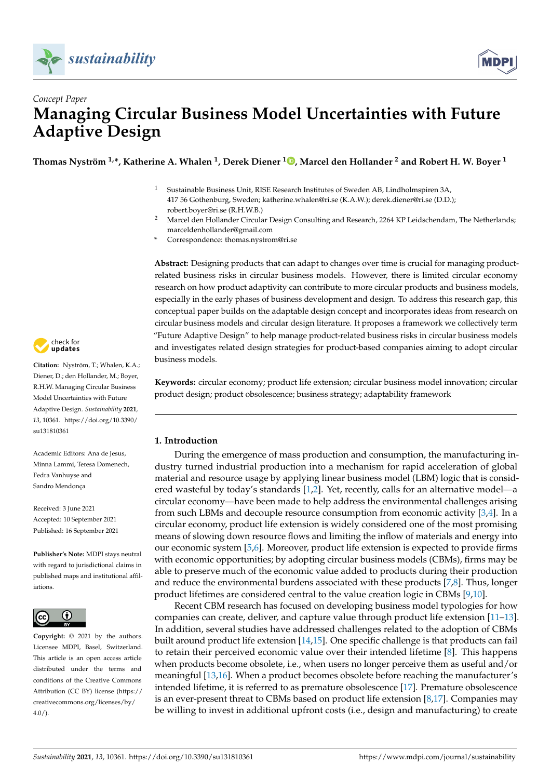



# *Concept Paper* **Managing Circular Business Model Uncertainties with Future Adaptive Design**

**Thomas Nyström 1,\*, Katherine A. Whalen <sup>1</sup> , Derek Diener <sup>1</sup> [,](https://orcid.org/0000-0002-0485-8376) Marcel den Hollander <sup>2</sup> and Robert H. W. Boyer <sup>1</sup>**

- <sup>1</sup> Sustainable Business Unit, RISE Research Institutes of Sweden AB, Lindholmspiren 3A, 417 56 Gothenburg, Sweden; katherine.whalen@ri.se (K.A.W.); derek.diener@ri.se (D.D.); robert.boyer@ri.se (R.H.W.B.)
- <sup>2</sup> Marcel den Hollander Circular Design Consulting and Research, 2264 KP Leidschendam, The Netherlands; marceldenhollander@gmail.com
- **\*** Correspondence: thomas.nystrom@ri.se

**Abstract:** Designing products that can adapt to changes over time is crucial for managing productrelated business risks in circular business models. However, there is limited circular economy research on how product adaptivity can contribute to more circular products and business models, especially in the early phases of business development and design. To address this research gap, this conceptual paper builds on the adaptable design concept and incorporates ideas from research on circular business models and circular design literature. It proposes a framework we collectively term "Future Adaptive Design" to help manage product-related business risks in circular business models and investigates related design strategies for product-based companies aiming to adopt circular business models.

**Keywords:** circular economy; product life extension; circular business model innovation; circular product design; product obsolescence; business strategy; adaptability framework

# **1. Introduction**

During the emergence of mass production and consumption, the manufacturing industry turned industrial production into a mechanism for rapid acceleration of global material and resource usage by applying linear business model (LBM) logic that is considered wasteful by today's standards [\[1,](#page-14-0)[2\]](#page-14-1). Yet, recently, calls for an alternative model—a circular economy—have been made to help address the environmental challenges arising from such LBMs and decouple resource consumption from economic activity [\[3,](#page-14-2)[4\]](#page-14-3). In a circular economy, product life extension is widely considered one of the most promising means of slowing down resource flows and limiting the inflow of materials and energy into our economic system [\[5,](#page-14-4)[6\]](#page-14-5). Moreover, product life extension is expected to provide firms with economic opportunities; by adopting circular business models (CBMs), firms may be able to preserve much of the economic value added to products during their production and reduce the environmental burdens associated with these products [\[7](#page-14-6)[,8\]](#page-14-7). Thus, longer product lifetimes are considered central to the value creation logic in CBMs [\[9,](#page-14-8)[10\]](#page-14-9).

Recent CBM research has focused on developing business model typologies for how companies can create, deliver, and capture value through product life extension [\[11](#page-14-10)[–13\]](#page-14-11). In addition, several studies have addressed challenges related to the adoption of CBMs built around product life extension [\[14,](#page-14-12)[15\]](#page-14-13). One specific challenge is that products can fail to retain their perceived economic value over their intended lifetime [\[8\]](#page-14-7). This happens when products become obsolete, i.e., when users no longer perceive them as useful and/or meaningful [\[13](#page-14-11)[,16\]](#page-14-14). When a product becomes obsolete before reaching the manufacturer's intended lifetime, it is referred to as premature obsolescence [\[17\]](#page-14-15). Premature obsolescence is an ever-present threat to CBMs based on product life extension [\[8,](#page-14-7)[17\]](#page-14-15). Companies may be willing to invest in additional upfront costs (i.e., design and manufacturing) to create



**Citation:** Nyström, T.; Whalen, K.A.; Diener, D.; den Hollander, M.; Boyer, R.H.W. Managing Circular Business Model Uncertainties with Future Adaptive Design. *Sustainability* **2021**, *13*, 10361. [https://doi.org/10.3390/](https://doi.org/10.3390/su131810361) [su131810361](https://doi.org/10.3390/su131810361)

Academic Editors: Ana de Jesus, Minna Lammi, Teresa Domenech, Fedra Vanhuyse and Sandro Mendonça

Received: 3 June 2021 Accepted: 10 September 2021 Published: 16 September 2021

**Publisher's Note:** MDPI stays neutral with regard to jurisdictional claims in published maps and institutional affiliations.



**Copyright:** © 2021 by the authors. Licensee MDPI, Basel, Switzerland. This article is an open access article distributed under the terms and conditions of the Creative Commons Attribution (CC BY) license (https:/[/](https://creativecommons.org/licenses/by/4.0/) [creativecommons.org/licenses/by/](https://creativecommons.org/licenses/by/4.0/)  $4.0/$ ).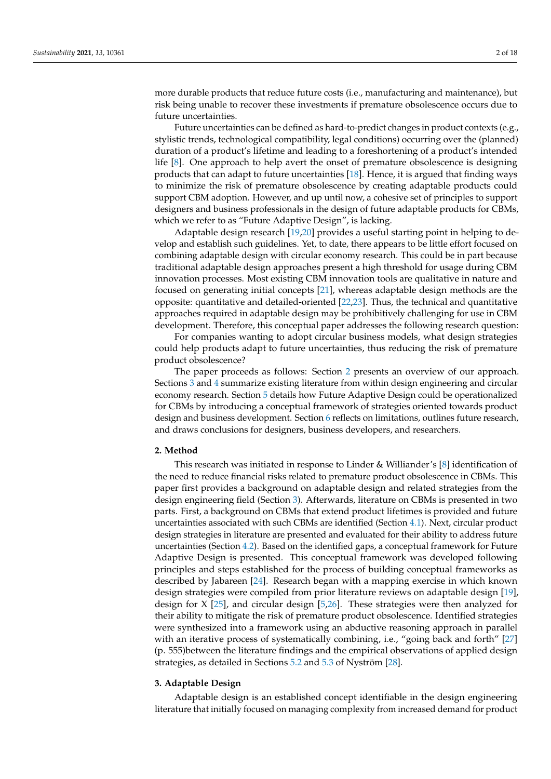more durable products that reduce future costs (i.e., manufacturing and maintenance), but risk being unable to recover these investments if premature obsolescence occurs due to future uncertainties.

Future uncertainties can be defined as hard-to-predict changes in product contexts (e.g., stylistic trends, technological compatibility, legal conditions) occurring over the (planned) duration of a product's lifetime and leading to a foreshortening of a product's intended life [\[8\]](#page-14-7). One approach to help avert the onset of premature obsolescence is designing products that can adapt to future uncertainties [\[18\]](#page-15-0). Hence, it is argued that finding ways to minimize the risk of premature obsolescence by creating adaptable products could support CBM adoption. However, and up until now, a cohesive set of principles to support designers and business professionals in the design of future adaptable products for CBMs, which we refer to as "Future Adaptive Design", is lacking.

Adaptable design research [\[19,](#page-15-1)[20\]](#page-15-2) provides a useful starting point in helping to develop and establish such guidelines. Yet, to date, there appears to be little effort focused on combining adaptable design with circular economy research. This could be in part because traditional adaptable design approaches present a high threshold for usage during CBM innovation processes. Most existing CBM innovation tools are qualitative in nature and focused on generating initial concepts [\[21\]](#page-15-3), whereas adaptable design methods are the opposite: quantitative and detailed-oriented [\[22,](#page-15-4)[23\]](#page-15-5). Thus, the technical and quantitative approaches required in adaptable design may be prohibitively challenging for use in CBM development. Therefore, this conceptual paper addresses the following research question:

For companies wanting to adopt circular business models, what design strategies could help products adapt to future uncertainties, thus reducing the risk of premature product obsolescence?

The paper proceeds as follows: Section [2](#page-1-0) presents an overview of our approach. Sections [3](#page-1-1) and [4](#page-3-0) summarize existing literature from within design engineering and circular economy research. Section [5](#page-6-0) details how Future Adaptive Design could be operationalized for CBMs by introducing a conceptual framework of strategies oriented towards product design and business development. Section [6](#page-11-0) reflects on limitations, outlines future research, and draws conclusions for designers, business developers, and researchers.

# <span id="page-1-0"></span>**2. Method**

This research was initiated in response to Linder & Williander's [\[8\]](#page-14-7) identification of the need to reduce financial risks related to premature product obsolescence in CBMs. This paper first provides a background on adaptable design and related strategies from the design engineering field (Section [3\)](#page-1-1). Afterwards, literature on CBMs is presented in two parts. First, a background on CBMs that extend product lifetimes is provided and future uncertainties associated with such CBMs are identified (Section [4.1\)](#page-3-1). Next, circular product design strategies in literature are presented and evaluated for their ability to address future uncertainties (Section [4.2\)](#page-4-0). Based on the identified gaps, a conceptual framework for Future Adaptive Design is presented. This conceptual framework was developed following principles and steps established for the process of building conceptual frameworks as described by Jabareen [\[24\]](#page-15-6). Research began with a mapping exercise in which known design strategies were compiled from prior literature reviews on adaptable design [\[19\]](#page-15-1), design for X [\[25\]](#page-15-7), and circular design [\[5](#page-14-4)[,26\]](#page-15-8). These strategies were then analyzed for their ability to mitigate the risk of premature product obsolescence. Identified strategies were synthesized into a framework using an abductive reasoning approach in parallel with an iterative process of systematically combining, i.e., "going back and forth" [\[27\]](#page-15-9) (p. 555)between the literature findings and the empirical observations of applied design strategies, as detailed in Sections [5.2](#page-8-0) and [5.3](#page-10-0) of Nyström [\[28\]](#page-15-10).

# <span id="page-1-1"></span>**3. Adaptable Design**

Adaptable design is an established concept identifiable in the design engineering literature that initially focused on managing complexity from increased demand for product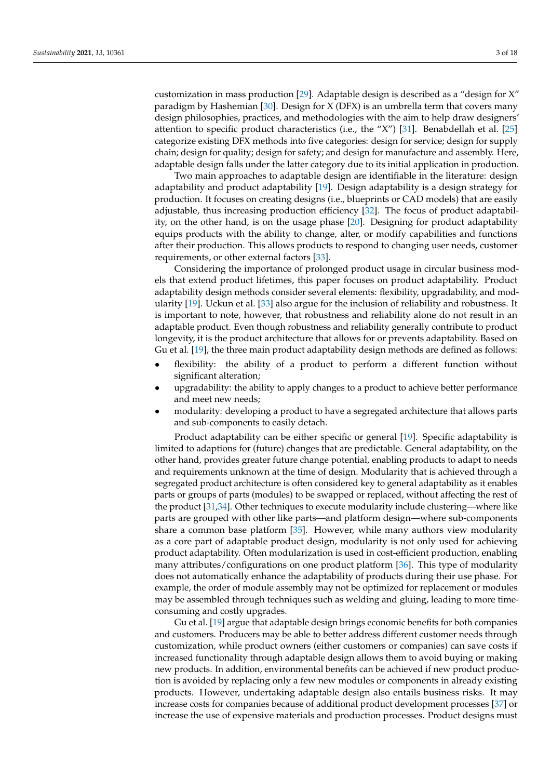customization in mass production [\[29\]](#page-15-11). Adaptable design is described as a "design for X" paradigm by Hashemian [\[30\]](#page-15-12). Design for X (DFX) is an umbrella term that covers many design philosophies, practices, and methodologies with the aim to help draw designers' attention to specific product characteristics (i.e., the "X") [\[31\]](#page-15-13). Benabdellah et al. [\[25\]](#page-15-7) categorize existing DFX methods into five categories: design for service; design for supply chain; design for quality; design for safety; and design for manufacture and assembly. Here, adaptable design falls under the latter category due to its initial application in production.

Two main approaches to adaptable design are identifiable in the literature: design adaptability and product adaptability [\[19\]](#page-15-1). Design adaptability is a design strategy for production. It focuses on creating designs (i.e., blueprints or CAD models) that are easily adjustable, thus increasing production efficiency [\[32\]](#page-15-14). The focus of product adaptability, on the other hand, is on the usage phase [\[20\]](#page-15-2). Designing for product adaptability equips products with the ability to change, alter, or modify capabilities and functions after their production. This allows products to respond to changing user needs, customer requirements, or other external factors [\[33\]](#page-15-15).

Considering the importance of prolonged product usage in circular business models that extend product lifetimes, this paper focuses on product adaptability. Product adaptability design methods consider several elements: flexibility, upgradability, and modularity [\[19\]](#page-15-1). Uckun et al. [\[33\]](#page-15-15) also argue for the inclusion of reliability and robustness. It is important to note, however, that robustness and reliability alone do not result in an adaptable product. Even though robustness and reliability generally contribute to product longevity, it is the product architecture that allows for or prevents adaptability. Based on Gu et al. [\[19\]](#page-15-1), the three main product adaptability design methods are defined as follows:

- flexibility: the ability of a product to perform a different function without significant alteration;
- upgradability: the ability to apply changes to a product to achieve better performance and meet new needs;
- modularity: developing a product to have a segregated architecture that allows parts and sub-components to easily detach.

Product adaptability can be either specific or general [\[19\]](#page-15-1). Specific adaptability is limited to adaptions for (future) changes that are predictable. General adaptability, on the other hand, provides greater future change potential, enabling products to adapt to needs and requirements unknown at the time of design. Modularity that is achieved through a segregated product architecture is often considered key to general adaptability as it enables parts or groups of parts (modules) to be swapped or replaced, without affecting the rest of the product [\[31](#page-15-13)[,34\]](#page-15-16). Other techniques to execute modularity include clustering—where like parts are grouped with other like parts—and platform design—where sub-components share a common base platform [\[35\]](#page-15-17). However, while many authors view modularity as a core part of adaptable product design, modularity is not only used for achieving product adaptability. Often modularization is used in cost-efficient production, enabling many attributes/configurations on one product platform [\[36\]](#page-15-18). This type of modularity does not automatically enhance the adaptability of products during their use phase. For example, the order of module assembly may not be optimized for replacement or modules may be assembled through techniques such as welding and gluing, leading to more timeconsuming and costly upgrades.

Gu et al. [\[19\]](#page-15-1) argue that adaptable design brings economic benefits for both companies and customers. Producers may be able to better address different customer needs through customization, while product owners (either customers or companies) can save costs if increased functionality through adaptable design allows them to avoid buying or making new products. In addition, environmental benefits can be achieved if new product production is avoided by replacing only a few new modules or components in already existing products. However, undertaking adaptable design also entails business risks. It may increase costs for companies because of additional product development processes [\[37\]](#page-15-19) or increase the use of expensive materials and production processes. Product designs must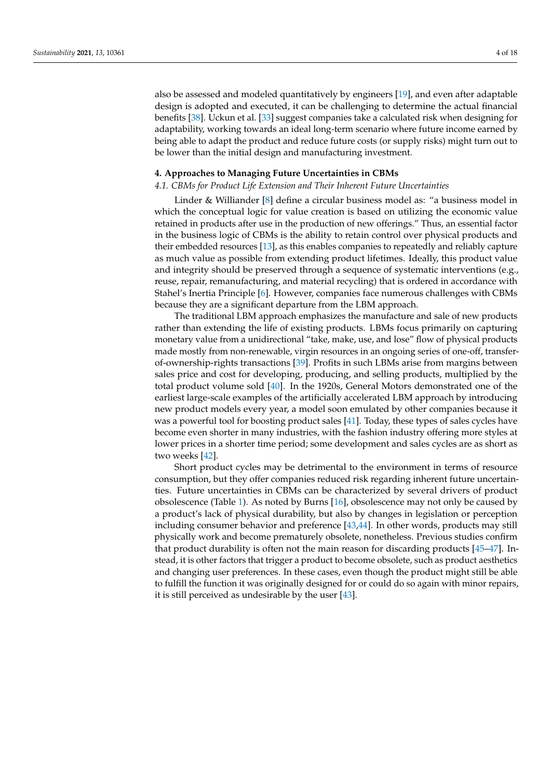also be assessed and modeled quantitatively by engineers [\[19\]](#page-15-1), and even after adaptable design is adopted and executed, it can be challenging to determine the actual financial benefits [\[38\]](#page-15-20). Uckun et al. [\[33\]](#page-15-15) suggest companies take a calculated risk when designing for adaptability, working towards an ideal long-term scenario where future income earned by being able to adapt the product and reduce future costs (or supply risks) might turn out to be lower than the initial design and manufacturing investment.

#### <span id="page-3-0"></span>**4. Approaches to Managing Future Uncertainties in CBMs**

#### <span id="page-3-1"></span>*4.1. CBMs for Product Life Extension and Their Inherent Future Uncertainties*

Linder & Williander [\[8\]](#page-14-7) define a circular business model as: "a business model in which the conceptual logic for value creation is based on utilizing the economic value retained in products after use in the production of new offerings." Thus, an essential factor in the business logic of CBMs is the ability to retain control over physical products and their embedded resources [\[13\]](#page-14-11), as this enables companies to repeatedly and reliably capture as much value as possible from extending product lifetimes. Ideally, this product value and integrity should be preserved through a sequence of systematic interventions (e.g., reuse, repair, remanufacturing, and material recycling) that is ordered in accordance with Stahel's Inertia Principle [\[6\]](#page-14-5). However, companies face numerous challenges with CBMs because they are a significant departure from the LBM approach.

The traditional LBM approach emphasizes the manufacture and sale of new products rather than extending the life of existing products. LBMs focus primarily on capturing monetary value from a unidirectional "take, make, use, and lose" flow of physical products made mostly from non-renewable, virgin resources in an ongoing series of one-off, transferof-ownership-rights transactions [\[39\]](#page-15-21). Profits in such LBMs arise from margins between sales price and cost for developing, producing, and selling products, multiplied by the total product volume sold [\[40\]](#page-15-22). In the 1920s, General Motors demonstrated one of the earliest large-scale examples of the artificially accelerated LBM approach by introducing new product models every year, a model soon emulated by other companies because it was a powerful tool for boosting product sales [\[41\]](#page-15-23). Today, these types of sales cycles have become even shorter in many industries, with the fashion industry offering more styles at lower prices in a shorter time period; some development and sales cycles are as short as two weeks [\[42\]](#page-15-24).

Short product cycles may be detrimental to the environment in terms of resource consumption, but they offer companies reduced risk regarding inherent future uncertainties. Future uncertainties in CBMs can be characterized by several drivers of product obsolescence (Table [1\)](#page-4-1). As noted by Burns [\[16\]](#page-14-14), obsolescence may not only be caused by a product's lack of physical durability, but also by changes in legislation or perception including consumer behavior and preference [\[43](#page-15-25)[,44\]](#page-15-26). In other words, products may still physically work and become prematurely obsolete, nonetheless. Previous studies confirm that product durability is often not the main reason for discarding products [\[45–](#page-15-27)[47\]](#page-15-28). Instead, it is other factors that trigger a product to become obsolete, such as product aesthetics and changing user preferences. In these cases, even though the product might still be able to fulfill the function it was originally designed for or could do so again with minor repairs, it is still perceived as undesirable by the user [\[43\]](#page-15-25).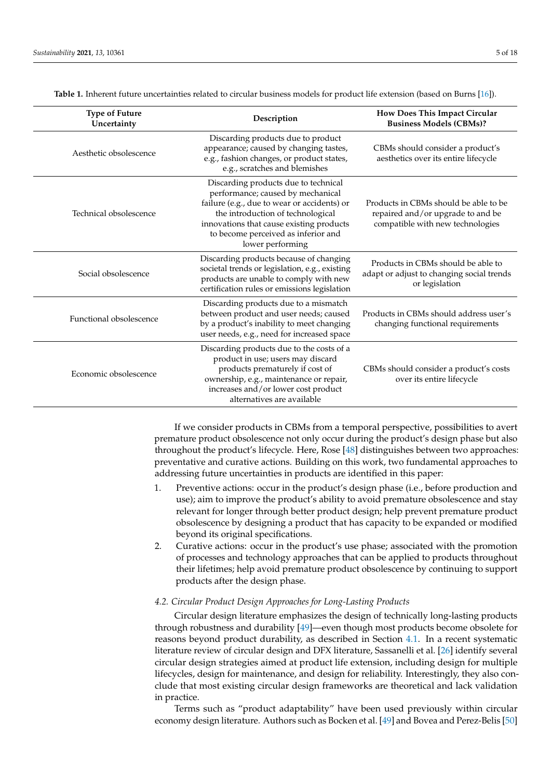<span id="page-4-1"></span>

| <b>Type of Future</b><br>Uncertainty | Description                                                                                                                                                                                                                                                          | How Does This Impact Circular<br><b>Business Models (CBMs)?</b>                                                |  |
|--------------------------------------|----------------------------------------------------------------------------------------------------------------------------------------------------------------------------------------------------------------------------------------------------------------------|----------------------------------------------------------------------------------------------------------------|--|
| Aesthetic obsolescence               | Discarding products due to product<br>appearance; caused by changing tastes,<br>e.g., fashion changes, or product states,<br>e.g., scratches and blemishes                                                                                                           | CBMs should consider a product's<br>aesthetics over its entire lifecycle                                       |  |
| Technical obsolescence               | Discarding products due to technical<br>performance; caused by mechanical<br>failure (e.g., due to wear or accidents) or<br>the introduction of technological<br>innovations that cause existing products<br>to become perceived as inferior and<br>lower performing | Products in CBMs should be able to be<br>repaired and/or upgrade to and be<br>compatible with new technologies |  |
| Social obsolescence                  | Discarding products because of changing<br>societal trends or legislation, e.g., existing<br>products are unable to comply with new<br>certification rules or emissions legislation                                                                                  | Products in CBMs should be able to<br>adapt or adjust to changing social trends<br>or legislation              |  |
| Functional obsolescence              | Discarding products due to a mismatch<br>between product and user needs; caused<br>by a product's inability to meet changing<br>user needs, e.g., need for increased space                                                                                           | Products in CBMs should address user's<br>changing functional requirements                                     |  |
| Economic obsolescence                | Discarding products due to the costs of a<br>product in use; users may discard<br>products prematurely if cost of<br>ownership, e.g., maintenance or repair,<br>increases and/or lower cost product<br>alternatives are available                                    | CBMs should consider a product's costs<br>over its entire lifecycle                                            |  |

**Table 1.** Inherent future uncertainties related to circular business models for product life extension (based on Burns [\[16\]](#page-14-14)).

If we consider products in CBMs from a temporal perspective, possibilities to avert premature product obsolescence not only occur during the product's design phase but also throughout the product's lifecycle. Here, Rose [\[48\]](#page-15-29) distinguishes between two approaches: preventative and curative actions. Building on this work, two fundamental approaches to addressing future uncertainties in products are identified in this paper:

- 1. Preventive actions: occur in the product's design phase (i.e., before production and use); aim to improve the product's ability to avoid premature obsolescence and stay relevant for longer through better product design; help prevent premature product obsolescence by designing a product that has capacity to be expanded or modified beyond its original specifications.
- 2. Curative actions: occur in the product's use phase; associated with the promotion of processes and technology approaches that can be applied to products throughout their lifetimes; help avoid premature product obsolescence by continuing to support products after the design phase.

# <span id="page-4-0"></span>*4.2. Circular Product Design Approaches for Long-Lasting Products*

Circular design literature emphasizes the design of technically long-lasting products through robustness and durability [\[49\]](#page-15-30)—even though most products become obsolete for reasons beyond product durability, as described in Section [4.1.](#page-3-1) In a recent systematic literature review of circular design and DFX literature, Sassanelli et al. [\[26\]](#page-15-8) identify several circular design strategies aimed at product life extension, including design for multiple lifecycles, design for maintenance, and design for reliability. Interestingly, they also conclude that most existing circular design frameworks are theoretical and lack validation in practice.

Terms such as "product adaptability" have been used previously within circular economy design literature. Authors such as Bocken et al. [\[49\]](#page-15-30) and Bovea and Perez-Belis [\[50\]](#page-16-0)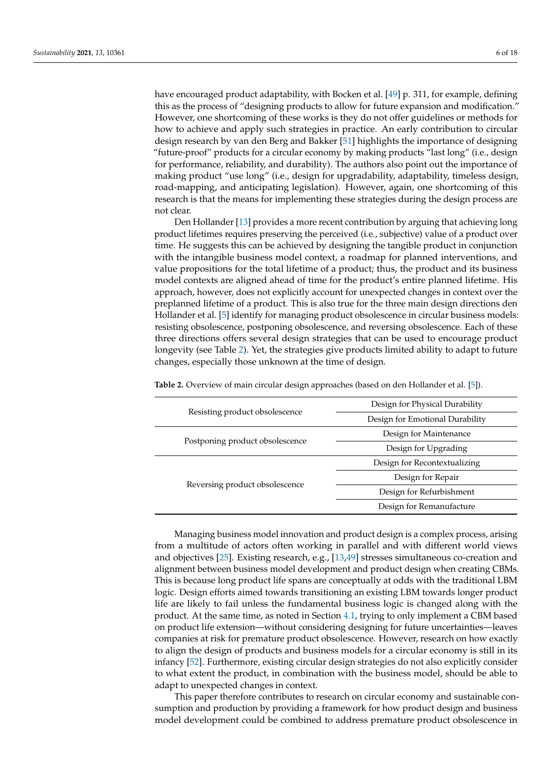have encouraged product adaptability, with Bocken et al. [\[49\]](#page-15-30) p. 311, for example, defining this as the process of "designing products to allow for future expansion and modification." However, one shortcoming of these works is they do not offer guidelines or methods for how to achieve and apply such strategies in practice. An early contribution to circular design research by van den Berg and Bakker [\[51\]](#page-16-1) highlights the importance of designing "future-proof" products for a circular economy by making products "last long" (i.e., design for performance, reliability, and durability). The authors also point out the importance of making product "use long" (i.e., design for upgradability, adaptability, timeless design, road-mapping, and anticipating legislation). However, again, one shortcoming of this research is that the means for implementing these strategies during the design process are not clear.

Den Hollander [\[13\]](#page-14-11) provides a more recent contribution by arguing that achieving long product lifetimes requires preserving the perceived (i.e., subjective) value of a product over time. He suggests this can be achieved by designing the tangible product in conjunction with the intangible business model context, a roadmap for planned interventions, and value propositions for the total lifetime of a product; thus, the product and its business model contexts are aligned ahead of time for the product's entire planned lifetime. His approach, however, does not explicitly account for unexpected changes in context over the preplanned lifetime of a product. This is also true for the three main design directions den Hollander et al. [\[5\]](#page-14-4) identify for managing product obsolescence in circular business models: resisting obsolescence, postponing obsolescence, and reversing obsolescence. Each of these three directions offers several design strategies that can be used to encourage product longevity (see Table [2\)](#page-5-0). Yet, the strategies give products limited ability to adapt to future changes, especially those unknown at the time of design.

|                                 | Design for Physical Durability  |  |  |
|---------------------------------|---------------------------------|--|--|
| Resisting product obsolescence  | Design for Emotional Durability |  |  |
|                                 | Design for Maintenance          |  |  |
| Postponing product obsolescence | Design for Upgrading            |  |  |
| Reversing product obsolescence  | Design for Recontextualizing    |  |  |
|                                 | Design for Repair               |  |  |
|                                 | Design for Refurbishment        |  |  |
|                                 | Design for Remanufacture        |  |  |
|                                 |                                 |  |  |

<span id="page-5-0"></span>**Table 2.** Overview of main circular design approaches (based on den Hollander et al. [\[5\]](#page-14-4)).

Managing business model innovation and product design is a complex process, arising from a multitude of actors often working in parallel and with different world views and objectives [\[25\]](#page-15-7). Existing research, e.g., [\[13](#page-14-11)[,49\]](#page-15-30) stresses simultaneous co-creation and alignment between business model development and product design when creating CBMs. This is because long product life spans are conceptually at odds with the traditional LBM logic. Design efforts aimed towards transitioning an existing LBM towards longer product life are likely to fail unless the fundamental business logic is changed along with the product. At the same time, as noted in Section [4.1,](#page-3-1) trying to only implement a CBM based on product life extension—without considering designing for future uncertainties—leaves companies at risk for premature product obsolescence. However, research on how exactly to align the design of products and business models for a circular economy is still in its infancy [\[52\]](#page-16-2). Furthermore, existing circular design strategies do not also explicitly consider to what extent the product, in combination with the business model, should be able to adapt to unexpected changes in context.

This paper therefore contributes to research on circular economy and sustainable consumption and production by providing a framework for how product design and business model development could be combined to address premature product obsolescence in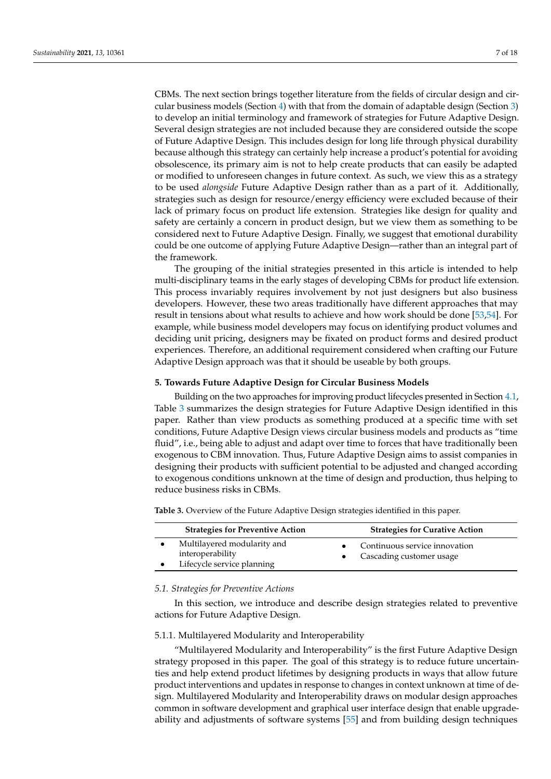CBMs. The next section brings together literature from the fields of circular design and circular business models (Section [4\)](#page-3-0) with that from the domain of adaptable design (Section [3\)](#page-1-1) to develop an initial terminology and framework of strategies for Future Adaptive Design. Several design strategies are not included because they are considered outside the scope of Future Adaptive Design. This includes design for long life through physical durability because although this strategy can certainly help increase a product's potential for avoiding obsolescence, its primary aim is not to help create products that can easily be adapted or modified to unforeseen changes in future context. As such, we view this as a strategy to be used *alongside* Future Adaptive Design rather than as a part of it. Additionally, strategies such as design for resource/energy efficiency were excluded because of their lack of primary focus on product life extension. Strategies like design for quality and safety are certainly a concern in product design, but we view them as something to be considered next to Future Adaptive Design. Finally, we suggest that emotional durability could be one outcome of applying Future Adaptive Design—rather than an integral part of the framework.

The grouping of the initial strategies presented in this article is intended to help multi-disciplinary teams in the early stages of developing CBMs for product life extension. This process invariably requires involvement by not just designers but also business developers. However, these two areas traditionally have different approaches that may result in tensions about what results to achieve and how work should be done [\[53](#page-16-3)[,54\]](#page-16-4). For example, while business model developers may focus on identifying product volumes and deciding unit pricing, designers may be fixated on product forms and desired product experiences. Therefore, an additional requirement considered when crafting our Future Adaptive Design approach was that it should be useable by both groups.

#### <span id="page-6-0"></span>**5. Towards Future Adaptive Design for Circular Business Models**

Building on the two approaches for improving product lifecycles presented in Section [4.1,](#page-3-1) Table [3](#page-6-1) summarizes the design strategies for Future Adaptive Design identified in this paper. Rather than view products as something produced at a specific time with set conditions, Future Adaptive Design views circular business models and products as "time fluid", i.e., being able to adjust and adapt over time to forces that have traditionally been exogenous to CBM innovation. Thus, Future Adaptive Design aims to assist companies in designing their products with sufficient potential to be adjusted and changed according to exogenous conditions unknown at the time of design and production, thus helping to reduce business risks in CBMs.

| <b>Strategies for Preventive Action</b>                                       | <b>Strategies for Curative Action</b>                       |
|-------------------------------------------------------------------------------|-------------------------------------------------------------|
| Multilayered modularity and<br>interoperability<br>Lifecycle service planning | Continuous service innovation<br>• Cascading customer usage |

<span id="page-6-1"></span>**Table 3.** Overview of the Future Adaptive Design strategies identified in this paper.

#### *5.1. Strategies for Preventive Actions*

In this section, we introduce and describe design strategies related to preventive actions for Future Adaptive Design.

## 5.1.1. Multilayered Modularity and Interoperability

"Multilayered Modularity and Interoperability" is the first Future Adaptive Design strategy proposed in this paper. The goal of this strategy is to reduce future uncertainties and help extend product lifetimes by designing products in ways that allow future product interventions and updates in response to changes in context unknown at time of design. Multilayered Modularity and Interoperability draws on modular design approaches common in software development and graphical user interface design that enable upgradeability and adjustments of software systems [\[55\]](#page-16-5) and from building design techniques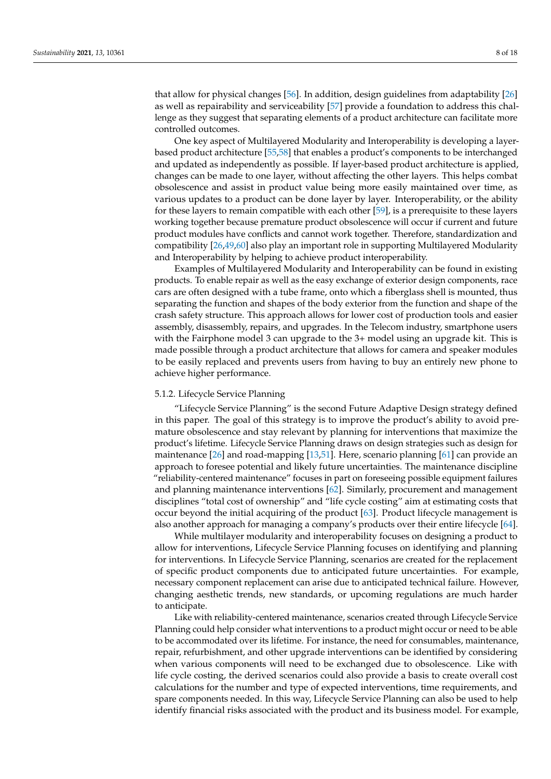that allow for physical changes [\[56\]](#page-16-6). In addition, design guidelines from adaptability [\[26\]](#page-15-8) as well as repairability and serviceability [\[57\]](#page-16-7) provide a foundation to address this challenge as they suggest that separating elements of a product architecture can facilitate more controlled outcomes.

One key aspect of Multilayered Modularity and Interoperability is developing a layerbased product architecture [\[55](#page-16-5)[,58\]](#page-16-8) that enables a product's components to be interchanged and updated as independently as possible. If layer-based product architecture is applied, changes can be made to one layer, without affecting the other layers. This helps combat obsolescence and assist in product value being more easily maintained over time, as various updates to a product can be done layer by layer. Interoperability, or the ability for these layers to remain compatible with each other [\[59\]](#page-16-9), is a prerequisite to these layers working together because premature product obsolescence will occur if current and future product modules have conflicts and cannot work together. Therefore, standardization and compatibility [\[26,](#page-15-8)[49](#page-15-30)[,60\]](#page-16-10) also play an important role in supporting Multilayered Modularity and Interoperability by helping to achieve product interoperability.

Examples of Multilayered Modularity and Interoperability can be found in existing products. To enable repair as well as the easy exchange of exterior design components, race cars are often designed with a tube frame, onto which a fiberglass shell is mounted, thus separating the function and shapes of the body exterior from the function and shape of the crash safety structure. This approach allows for lower cost of production tools and easier assembly, disassembly, repairs, and upgrades. In the Telecom industry, smartphone users with the Fairphone model 3 can upgrade to the 3+ model using an upgrade kit. This is made possible through a product architecture that allows for camera and speaker modules to be easily replaced and prevents users from having to buy an entirely new phone to achieve higher performance.

#### 5.1.2. Lifecycle Service Planning

"Lifecycle Service Planning" is the second Future Adaptive Design strategy defined in this paper. The goal of this strategy is to improve the product's ability to avoid premature obsolescence and stay relevant by planning for interventions that maximize the product's lifetime. Lifecycle Service Planning draws on design strategies such as design for maintenance [\[26\]](#page-15-8) and road-mapping [\[13,](#page-14-11)[51\]](#page-16-1). Here, scenario planning [\[61\]](#page-16-11) can provide an approach to foresee potential and likely future uncertainties. The maintenance discipline "reliability-centered maintenance" focuses in part on foreseeing possible equipment failures and planning maintenance interventions [\[62\]](#page-16-12). Similarly, procurement and management disciplines "total cost of ownership" and "life cycle costing" aim at estimating costs that occur beyond the initial acquiring of the product [\[63\]](#page-16-13). Product lifecycle management is also another approach for managing a company's products over their entire lifecycle [\[64\]](#page-16-14).

While multilayer modularity and interoperability focuses on designing a product to allow for interventions, Lifecycle Service Planning focuses on identifying and planning for interventions. In Lifecycle Service Planning, scenarios are created for the replacement of specific product components due to anticipated future uncertainties. For example, necessary component replacement can arise due to anticipated technical failure. However, changing aesthetic trends, new standards, or upcoming regulations are much harder to anticipate.

Like with reliability-centered maintenance, scenarios created through Lifecycle Service Planning could help consider what interventions to a product might occur or need to be able to be accommodated over its lifetime. For instance, the need for consumables, maintenance, repair, refurbishment, and other upgrade interventions can be identified by considering when various components will need to be exchanged due to obsolescence. Like with life cycle costing, the derived scenarios could also provide a basis to create overall cost calculations for the number and type of expected interventions, time requirements, and spare components needed. In this way, Lifecycle Service Planning can also be used to help identify financial risks associated with the product and its business model. For example,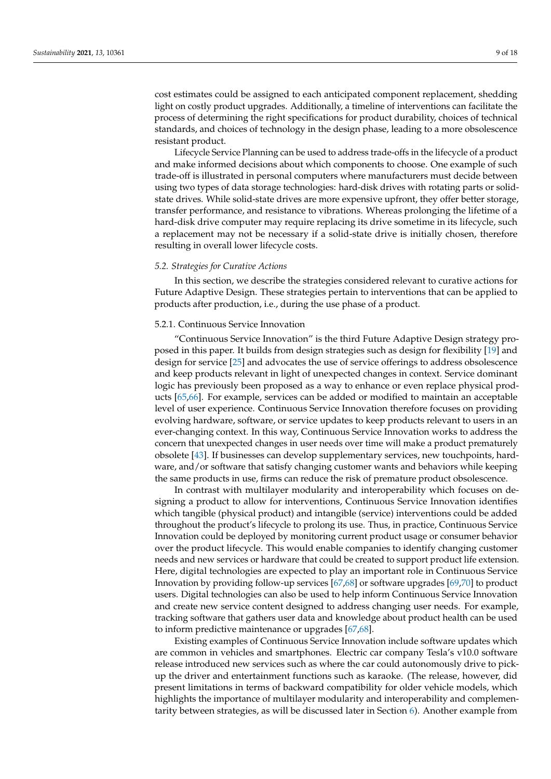cost estimates could be assigned to each anticipated component replacement, shedding light on costly product upgrades. Additionally, a timeline of interventions can facilitate the process of determining the right specifications for product durability, choices of technical standards, and choices of technology in the design phase, leading to a more obsolescence resistant product.

Lifecycle Service Planning can be used to address trade-offs in the lifecycle of a product and make informed decisions about which components to choose. One example of such trade-off is illustrated in personal computers where manufacturers must decide between using two types of data storage technologies: hard-disk drives with rotating parts or solidstate drives. While solid-state drives are more expensive upfront, they offer better storage, transfer performance, and resistance to vibrations. Whereas prolonging the lifetime of a hard-disk drive computer may require replacing its drive sometime in its lifecycle, such a replacement may not be necessary if a solid-state drive is initially chosen, therefore resulting in overall lower lifecycle costs.

#### <span id="page-8-0"></span>*5.2. Strategies for Curative Actions*

In this section, we describe the strategies considered relevant to curative actions for Future Adaptive Design. These strategies pertain to interventions that can be applied to products after production, i.e., during the use phase of a product.

#### 5.2.1. Continuous Service Innovation

"Continuous Service Innovation" is the third Future Adaptive Design strategy proposed in this paper. It builds from design strategies such as design for flexibility [\[19\]](#page-15-1) and design for service [\[25\]](#page-15-7) and advocates the use of service offerings to address obsolescence and keep products relevant in light of unexpected changes in context. Service dominant logic has previously been proposed as a way to enhance or even replace physical products [\[65,](#page-16-15)[66\]](#page-16-16). For example, services can be added or modified to maintain an acceptable level of user experience. Continuous Service Innovation therefore focuses on providing evolving hardware, software, or service updates to keep products relevant to users in an ever-changing context. In this way, Continuous Service Innovation works to address the concern that unexpected changes in user needs over time will make a product prematurely obsolete [\[43\]](#page-15-25). If businesses can develop supplementary services, new touchpoints, hardware, and/or software that satisfy changing customer wants and behaviors while keeping the same products in use, firms can reduce the risk of premature product obsolescence.

In contrast with multilayer modularity and interoperability which focuses on designing a product to allow for interventions, Continuous Service Innovation identifies which tangible (physical product) and intangible (service) interventions could be added throughout the product's lifecycle to prolong its use. Thus, in practice, Continuous Service Innovation could be deployed by monitoring current product usage or consumer behavior over the product lifecycle. This would enable companies to identify changing customer needs and new services or hardware that could be created to support product life extension. Here, digital technologies are expected to play an important role in Continuous Service Innovation by providing follow-up services [\[67,](#page-16-17)[68\]](#page-16-18) or software upgrades [\[69,](#page-16-19)[70\]](#page-16-20) to product users. Digital technologies can also be used to help inform Continuous Service Innovation and create new service content designed to address changing user needs. For example, tracking software that gathers user data and knowledge about product health can be used to inform predictive maintenance or upgrades [\[67,](#page-16-17)[68\]](#page-16-18).

Existing examples of Continuous Service Innovation include software updates which are common in vehicles and smartphones. Electric car company Tesla's v10.0 software release introduced new services such as where the car could autonomously drive to pickup the driver and entertainment functions such as karaoke. (The release, however, did present limitations in terms of backward compatibility for older vehicle models, which highlights the importance of multilayer modularity and interoperability and complementarity between strategies, as will be discussed later in Section [6\)](#page-11-0). Another example from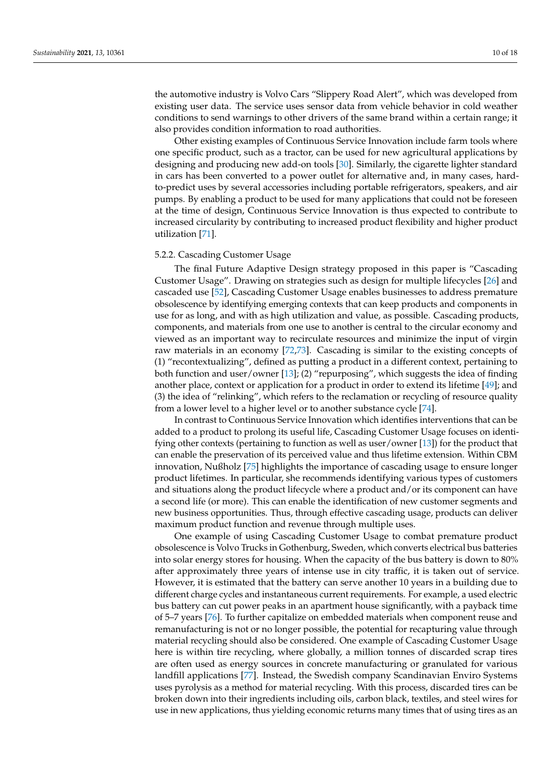the automotive industry is Volvo Cars "Slippery Road Alert", which was developed from existing user data. The service uses sensor data from vehicle behavior in cold weather conditions to send warnings to other drivers of the same brand within a certain range; it also provides condition information to road authorities.

Other existing examples of Continuous Service Innovation include farm tools where one specific product, such as a tractor, can be used for new agricultural applications by designing and producing new add-on tools [\[30\]](#page-15-12). Similarly, the cigarette lighter standard in cars has been converted to a power outlet for alternative and, in many cases, hardto-predict uses by several accessories including portable refrigerators, speakers, and air pumps. By enabling a product to be used for many applications that could not be foreseen at the time of design, Continuous Service Innovation is thus expected to contribute to increased circularity by contributing to increased product flexibility and higher product utilization [\[71\]](#page-16-21).

#### 5.2.2. Cascading Customer Usage

The final Future Adaptive Design strategy proposed in this paper is "Cascading Customer Usage". Drawing on strategies such as design for multiple lifecycles [\[26\]](#page-15-8) and cascaded use [\[52\]](#page-16-2), Cascading Customer Usage enables businesses to address premature obsolescence by identifying emerging contexts that can keep products and components in use for as long, and with as high utilization and value, as possible. Cascading products, components, and materials from one use to another is central to the circular economy and viewed as an important way to recirculate resources and minimize the input of virgin raw materials in an economy [\[72](#page-16-22)[,73\]](#page-16-23). Cascading is similar to the existing concepts of (1) "recontextualizing", defined as putting a product in a different context, pertaining to both function and user/owner [\[13\]](#page-14-11); (2) "repurposing", which suggests the idea of finding another place, context or application for a product in order to extend its lifetime [\[49\]](#page-15-30); and (3) the idea of "relinking", which refers to the reclamation or recycling of resource quality from a lower level to a higher level or to another substance cycle [\[74\]](#page-16-24).

In contrast to Continuous Service Innovation which identifies interventions that can be added to a product to prolong its useful life, Cascading Customer Usage focuses on identifying other contexts (pertaining to function as well as user/owner [\[13\]](#page-14-11)) for the product that can enable the preservation of its perceived value and thus lifetime extension. Within CBM innovation, Nußholz [\[75\]](#page-16-25) highlights the importance of cascading usage to ensure longer product lifetimes. In particular, she recommends identifying various types of customers and situations along the product lifecycle where a product and/or its component can have a second life (or more). This can enable the identification of new customer segments and new business opportunities. Thus, through effective cascading usage, products can deliver maximum product function and revenue through multiple uses.

One example of using Cascading Customer Usage to combat premature product obsolescence is Volvo Trucks in Gothenburg, Sweden, which converts electrical bus batteries into solar energy stores for housing. When the capacity of the bus battery is down to 80% after approximately three years of intense use in city traffic, it is taken out of service. However, it is estimated that the battery can serve another 10 years in a building due to different charge cycles and instantaneous current requirements. For example, a used electric bus battery can cut power peaks in an apartment house significantly, with a payback time of 5–7 years [\[76\]](#page-16-26). To further capitalize on embedded materials when component reuse and remanufacturing is not or no longer possible, the potential for recapturing value through material recycling should also be considered. One example of Cascading Customer Usage here is within tire recycling, where globally, a million tonnes of discarded scrap tires are often used as energy sources in concrete manufacturing or granulated for various landfill applications [\[77\]](#page-16-27). Instead, the Swedish company Scandinavian Enviro Systems uses pyrolysis as a method for material recycling. With this process, discarded tires can be broken down into their ingredients including oils, carbon black, textiles, and steel wires for use in new applications, thus yielding economic returns many times that of using tires as an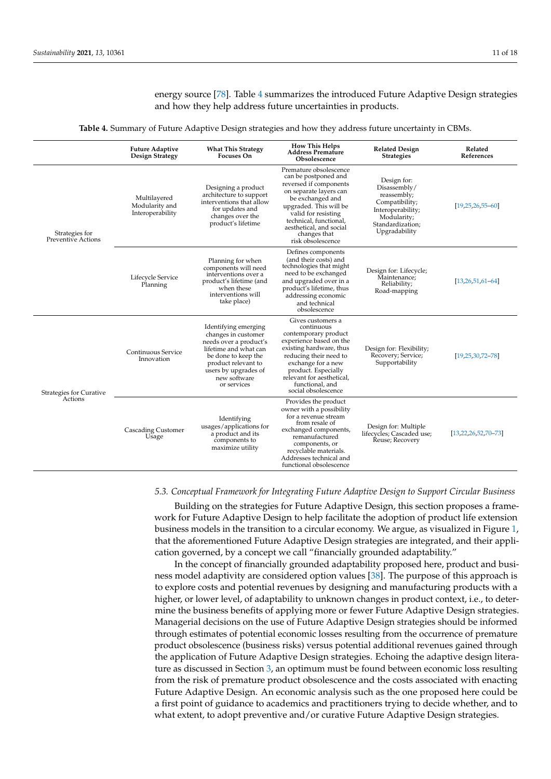energy source [\[78\]](#page-16-28). Table [4](#page-10-1) summarizes the introduced Future Adaptive Design strategies and how they help address future uncertainties in products.

**Table 4.** Summary of Future Adaptive Design strategies and how they address future uncertainty in CBMs.

<span id="page-10-1"></span>

|                                           | <b>Future Adaptive</b><br>Design Strategy          | <b>What This Strategy</b><br><b>Focuses On</b>                                                                                                                                                      | <b>How This Helps</b><br><b>Address Premature</b><br>Obsolescence                                                                                                                                                                                                 | <b>Related Design</b><br><b>Strategies</b>                                                                                            | Related<br>References       |
|-------------------------------------------|----------------------------------------------------|-----------------------------------------------------------------------------------------------------------------------------------------------------------------------------------------------------|-------------------------------------------------------------------------------------------------------------------------------------------------------------------------------------------------------------------------------------------------------------------|---------------------------------------------------------------------------------------------------------------------------------------|-----------------------------|
| Strategies for<br>Preventive Actions      | Multilayered<br>Modularity and<br>Interoperability | Designing a product<br>architecture to support<br>interventions that allow<br>for updates and<br>changes over the<br>product's lifetime                                                             | Premature obsolescence<br>can be postponed and<br>reversed if components<br>on separate layers can<br>be exchanged and<br>upgraded. This will be<br>valid for resisting<br>technical, functional,<br>aesthetical, and social<br>changes that<br>risk obsolescence | Design for:<br>Disassembly/<br>reassembly;<br>Compatibility;<br>Interoperability;<br>Modularity;<br>Standardization;<br>Upgradability | $[19,25,26,55-60]$          |
|                                           | Lifecycle Service<br>Planning                      | Planning for when<br>components will need<br>interventions over a<br>product's lifetime (and<br>when these<br>interventions will<br>take place)                                                     | Defines components<br>(and their costs) and<br>technologies that might<br>need to be exchanged<br>and upgraded over in a<br>product's lifetime, thus<br>addressing economic<br>and technical<br>obsolescence                                                      | Design for: Lifecycle;<br>Maintenance;<br>Reliability;<br>Road-mapping                                                                | $[13, 26, 51, 61 - 64]$     |
| <b>Strategies for Curative</b><br>Actions | Continuous Service<br>Innovation                   | Identifying emerging<br>changes in customer<br>needs over a product's<br>lifetime and what can<br>be done to keep the<br>product relevant to<br>users by upgrades of<br>new software<br>or services | Gives customers a<br>continuous<br>contemporary product<br>experience based on the<br>existing hardware, thus<br>reducing their need to<br>exchange for a new<br>product. Especially<br>relevant for aesthetical,<br>functional, and<br>social obsolescence       | Design for: Flexibility;<br>Recovery; Service;<br>Supportability                                                                      | $[19, 25, 30, 72 - 78]$     |
|                                           | <b>Cascading Customer</b><br>Usage                 | Identifying<br>usages/applications for<br>a product and its<br>components to<br>maximize utility                                                                                                    | Provides the product<br>owner with a possibility<br>for a revenue stream<br>from resale of<br>exchanged components,<br>remanufactured<br>components, or<br>recyclable materials.<br>Addresses technical and<br>functional obsolescence                            | Design for: Multiple<br>lifecycles; Cascaded use;<br>Řeuse; Recovery                                                                  | $[13, 22, 26, 52, 70 - 73]$ |

#### <span id="page-10-0"></span>*5.3. Conceptual Framework for Integrating Future Adaptive Design to Support Circular Business*

Building on the strategies for Future Adaptive Design, this section proposes a framework for Future Adaptive Design to help facilitate the adoption of product life extension business models in the transition to a circular economy. We argue, as visualized in Figure [1,](#page-11-1) that the aforementioned Future Adaptive Design strategies are integrated, and their application governed, by a concept we call "financially grounded adaptability."

In the concept of financially grounded adaptability proposed here, product and business model adaptivity are considered option values [\[38\]](#page-15-20). The purpose of this approach is to explore costs and potential revenues by designing and manufacturing products with a higher, or lower level, of adaptability to unknown changes in product context, i.e., to determine the business benefits of applying more or fewer Future Adaptive Design strategies. Managerial decisions on the use of Future Adaptive Design strategies should be informed through estimates of potential economic losses resulting from the occurrence of premature product obsolescence (business risks) versus potential additional revenues gained through the application of Future Adaptive Design strategies. Echoing the adaptive design literature as discussed in Section [3,](#page-1-1) an optimum must be found between economic loss resulting from the risk of premature product obsolescence and the costs associated with enacting Future Adaptive Design. An economic analysis such as the one proposed here could be a first point of guidance to academics and practitioners trying to decide whether, and to what extent, to adopt preventive and/or curative Future Adaptive Design strategies.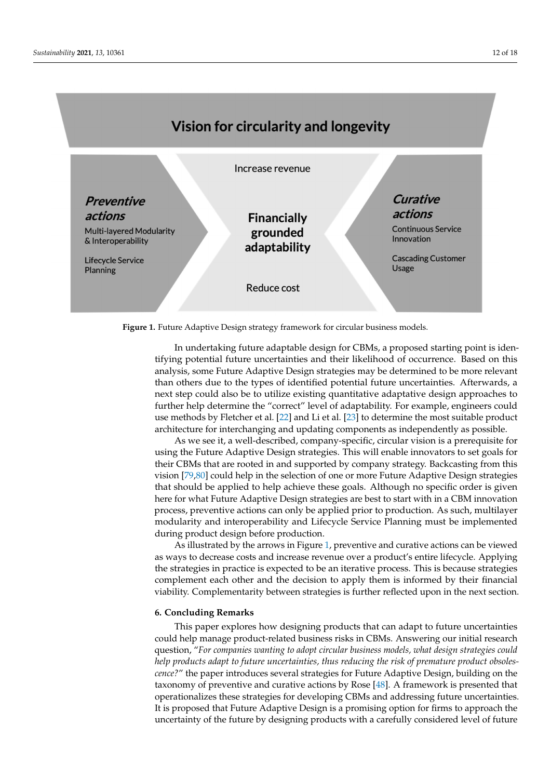<span id="page-11-1"></span>

**Figure 1.** Future Adaptive Design strategy framework for circular business models.

In undertaking future adaptable design for CBMs, a proposed starting point is identifying potential future uncertainties and their likelihood of occurrence. Based on this analysis, some Future Adaptive Design strategies may be determined to be more relevant than others due to the types of identified potential future uncertainties. Afterwards, a next step could also be to utilize existing quantitative adaptative design approaches to further help determine the "correct" level of adaptability. For example, engineers could use methods by Fletcher et al. [\[22\]](#page-15-4) and Li et al. [\[23\]](#page-15-5) to determine the most suitable product architecture for interchanging and updating components as independently as possible.

As we see it, a well-described, company-specific, circular vision is a prerequisite for using the Future Adaptive Design strategies. This will enable innovators to set goals for their CBMs that are rooted in and supported by company strategy. Backcasting from this vision [\[79](#page-16-29)[,80\]](#page-16-30) could help in the selection of one or more Future Adaptive Design strategies that should be applied to help achieve these goals. Although no specific order is given here for what Future Adaptive Design strategies are best to start with in a CBM innovation process, preventive actions can only be applied prior to production. As such, multilayer modularity and interoperability and Lifecycle Service Planning must be implemented during product design before production.

As illustrated by the arrows in Figure [1,](#page-11-1) preventive and curative actions can be viewed as ways to decrease costs and increase revenue over a product's entire lifecycle. Applying the strategies in practice is expected to be an iterative process. This is because strategies complement each other and the decision to apply them is informed by their financial viability. Complementarity between strategies is further reflected upon in the next section.

## <span id="page-11-0"></span>**6. Concluding Remarks**

This paper explores how designing products that can adapt to future uncertainties could help manage product-related business risks in CBMs. Answering our initial research question, "*For companies wanting to adopt circular business models, what design strategies could help products adapt to future uncertainties, thus reducing the risk of premature product obsolescence?*" the paper introduces several strategies for Future Adaptive Design, building on the taxonomy of preventive and curative actions by Rose [\[48\]](#page-15-29). A framework is presented that operationalizes these strategies for developing CBMs and addressing future uncertainties. It is proposed that Future Adaptive Design is a promising option for firms to approach the uncertainty of the future by designing products with a carefully considered level of future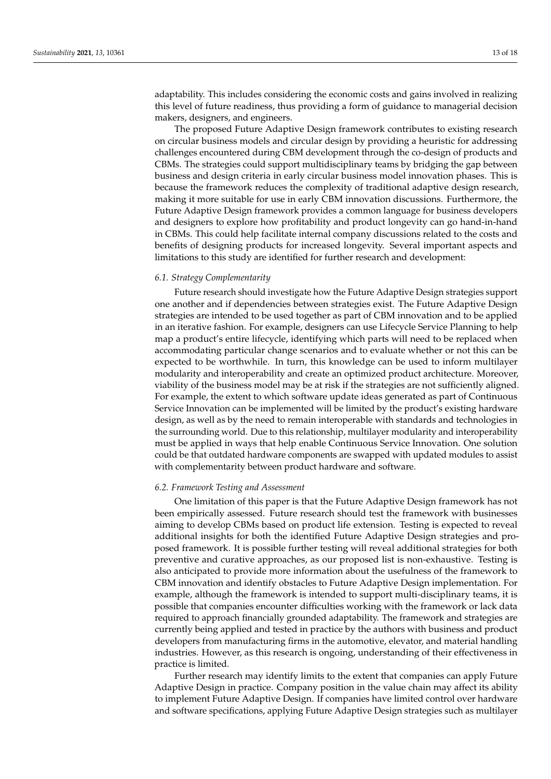adaptability. This includes considering the economic costs and gains involved in realizing this level of future readiness, thus providing a form of guidance to managerial decision makers, designers, and engineers.

The proposed Future Adaptive Design framework contributes to existing research on circular business models and circular design by providing a heuristic for addressing challenges encountered during CBM development through the co-design of products and CBMs. The strategies could support multidisciplinary teams by bridging the gap between business and design criteria in early circular business model innovation phases. This is because the framework reduces the complexity of traditional adaptive design research, making it more suitable for use in early CBM innovation discussions. Furthermore, the Future Adaptive Design framework provides a common language for business developers and designers to explore how profitability and product longevity can go hand-in-hand in CBMs. This could help facilitate internal company discussions related to the costs and benefits of designing products for increased longevity. Several important aspects and limitations to this study are identified for further research and development:

# *6.1. Strategy Complementarity*

Future research should investigate how the Future Adaptive Design strategies support one another and if dependencies between strategies exist. The Future Adaptive Design strategies are intended to be used together as part of CBM innovation and to be applied in an iterative fashion. For example, designers can use Lifecycle Service Planning to help map a product's entire lifecycle, identifying which parts will need to be replaced when accommodating particular change scenarios and to evaluate whether or not this can be expected to be worthwhile. In turn, this knowledge can be used to inform multilayer modularity and interoperability and create an optimized product architecture. Moreover, viability of the business model may be at risk if the strategies are not sufficiently aligned. For example, the extent to which software update ideas generated as part of Continuous Service Innovation can be implemented will be limited by the product's existing hardware design, as well as by the need to remain interoperable with standards and technologies in the surrounding world. Due to this relationship, multilayer modularity and interoperability must be applied in ways that help enable Continuous Service Innovation. One solution could be that outdated hardware components are swapped with updated modules to assist with complementarity between product hardware and software.

#### *6.2. Framework Testing and Assessment*

One limitation of this paper is that the Future Adaptive Design framework has not been empirically assessed. Future research should test the framework with businesses aiming to develop CBMs based on product life extension. Testing is expected to reveal additional insights for both the identified Future Adaptive Design strategies and proposed framework. It is possible further testing will reveal additional strategies for both preventive and curative approaches, as our proposed list is non-exhaustive. Testing is also anticipated to provide more information about the usefulness of the framework to CBM innovation and identify obstacles to Future Adaptive Design implementation. For example, although the framework is intended to support multi-disciplinary teams, it is possible that companies encounter difficulties working with the framework or lack data required to approach financially grounded adaptability. The framework and strategies are currently being applied and tested in practice by the authors with business and product developers from manufacturing firms in the automotive, elevator, and material handling industries. However, as this research is ongoing, understanding of their effectiveness in practice is limited.

Further research may identify limits to the extent that companies can apply Future Adaptive Design in practice. Company position in the value chain may affect its ability to implement Future Adaptive Design. If companies have limited control over hardware and software specifications, applying Future Adaptive Design strategies such as multilayer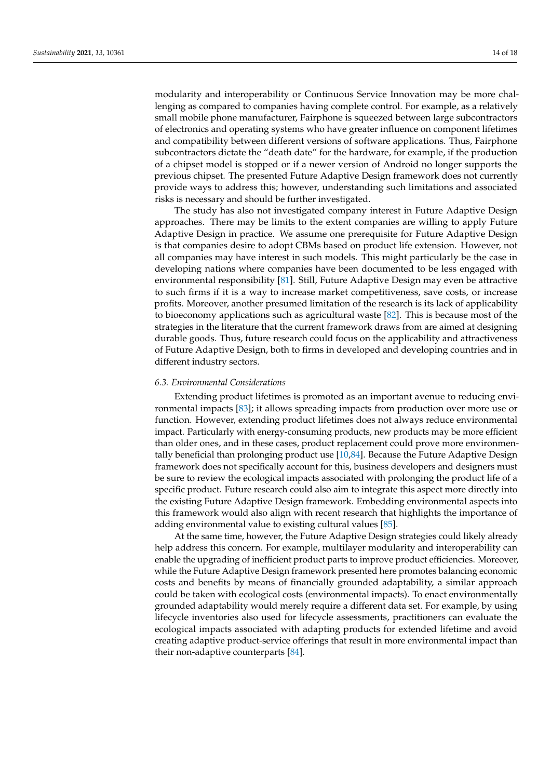modularity and interoperability or Continuous Service Innovation may be more challenging as compared to companies having complete control. For example, as a relatively small mobile phone manufacturer, Fairphone is squeezed between large subcontractors of electronics and operating systems who have greater influence on component lifetimes and compatibility between different versions of software applications. Thus, Fairphone subcontractors dictate the "death date" for the hardware, for example, if the production of a chipset model is stopped or if a newer version of Android no longer supports the previous chipset. The presented Future Adaptive Design framework does not currently provide ways to address this; however, understanding such limitations and associated risks is necessary and should be further investigated.

The study has also not investigated company interest in Future Adaptive Design approaches. There may be limits to the extent companies are willing to apply Future Adaptive Design in practice. We assume one prerequisite for Future Adaptive Design is that companies desire to adopt CBMs based on product life extension. However, not all companies may have interest in such models. This might particularly be the case in developing nations where companies have been documented to be less engaged with environmental responsibility [\[81\]](#page-16-31). Still, Future Adaptive Design may even be attractive to such firms if it is a way to increase market competitiveness, save costs, or increase profits. Moreover, another presumed limitation of the research is its lack of applicability to bioeconomy applications such as agricultural waste [\[82\]](#page-17-0). This is because most of the strategies in the literature that the current framework draws from are aimed at designing durable goods. Thus, future research could focus on the applicability and attractiveness of Future Adaptive Design, both to firms in developed and developing countries and in different industry sectors.

#### *6.3. Environmental Considerations*

Extending product lifetimes is promoted as an important avenue to reducing environmental impacts [\[83\]](#page-17-1); it allows spreading impacts from production over more use or function. However, extending product lifetimes does not always reduce environmental impact. Particularly with energy-consuming products, new products may be more efficient than older ones, and in these cases, product replacement could prove more environmentally beneficial than prolonging product use [\[10,](#page-14-9)[84\]](#page-17-2). Because the Future Adaptive Design framework does not specifically account for this, business developers and designers must be sure to review the ecological impacts associated with prolonging the product life of a specific product. Future research could also aim to integrate this aspect more directly into the existing Future Adaptive Design framework. Embedding environmental aspects into this framework would also align with recent research that highlights the importance of adding environmental value to existing cultural values [\[85\]](#page-17-3).

At the same time, however, the Future Adaptive Design strategies could likely already help address this concern. For example, multilayer modularity and interoperability can enable the upgrading of inefficient product parts to improve product efficiencies. Moreover, while the Future Adaptive Design framework presented here promotes balancing economic costs and benefits by means of financially grounded adaptability, a similar approach could be taken with ecological costs (environmental impacts). To enact environmentally grounded adaptability would merely require a different data set. For example, by using lifecycle inventories also used for lifecycle assessments, practitioners can evaluate the ecological impacts associated with adapting products for extended lifetime and avoid creating adaptive product-service offerings that result in more environmental impact than their non-adaptive counterparts [\[84\]](#page-17-2).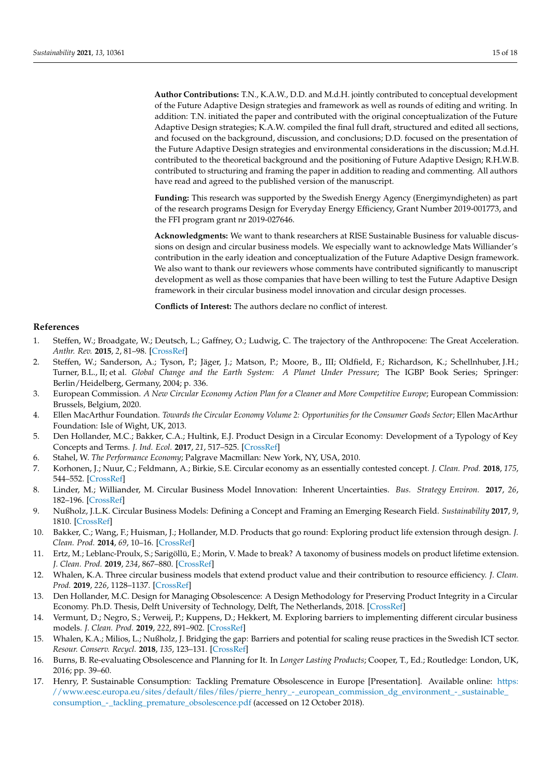**Author Contributions:** T.N., K.A.W., D.D. and M.d.H. jointly contributed to conceptual development of the Future Adaptive Design strategies and framework as well as rounds of editing and writing. In addition: T.N. initiated the paper and contributed with the original conceptualization of the Future Adaptive Design strategies; K.A.W. compiled the final full draft, structured and edited all sections, and focused on the background, discussion, and conclusions; D.D. focused on the presentation of the Future Adaptive Design strategies and environmental considerations in the discussion; M.d.H. contributed to the theoretical background and the positioning of Future Adaptive Design; R.H.W.B. contributed to structuring and framing the paper in addition to reading and commenting. All authors have read and agreed to the published version of the manuscript.

**Funding:** This research was supported by the Swedish Energy Agency (Energimyndigheten) as part of the research programs Design for Everyday Energy Efficiency, Grant Number 2019-001773, and the FFI program grant nr 2019-027646.

**Acknowledgments:** We want to thank researchers at RISE Sustainable Business for valuable discussions on design and circular business models. We especially want to acknowledge Mats Williander's contribution in the early ideation and conceptualization of the Future Adaptive Design framework. We also want to thank our reviewers whose comments have contributed significantly to manuscript development as well as those companies that have been willing to test the Future Adaptive Design framework in their circular business model innovation and circular design processes.

**Conflicts of Interest:** The authors declare no conflict of interest.

# **References**

- <span id="page-14-0"></span>1. Steffen, W.; Broadgate, W.; Deutsch, L.; Gaffney, O.; Ludwig, C. The trajectory of the Anthropocene: The Great Acceleration. *Anthr. Rev.* **2015**, *2*, 81–98. [\[CrossRef\]](http://doi.org/10.1177/2053019614564785)
- <span id="page-14-1"></span>2. Steffen, W.; Sanderson, A.; Tyson, P.; Jäger, J.; Matson, P.; Moore, B., III; Oldfield, F.; Richardson, K.; Schellnhuber, J.H.; Turner, B.L., II; et al. *Global Change and the Earth System: A Planet Under Pressure*; The IGBP Book Series; Springer: Berlin/Heidelberg, Germany, 2004; p. 336.
- <span id="page-14-2"></span>3. European Commission. *A New Circular Economy Action Plan for a Cleaner and More Competitive Europe*; European Commission: Brussels, Belgium, 2020.
- <span id="page-14-3"></span>4. Ellen MacArthur Foundation. *Towards the Circular Economy Volume 2: Opportunities for the Consumer Goods Sector*; Ellen MacArthur Foundation: Isle of Wight, UK, 2013.
- <span id="page-14-4"></span>5. Den Hollander, M.C.; Bakker, C.A.; Hultink, E.J. Product Design in a Circular Economy: Development of a Typology of Key Concepts and Terms. *J. Ind. Ecol.* **2017**, *21*, 517–525. [\[CrossRef\]](http://doi.org/10.1111/jiec.12610)
- <span id="page-14-5"></span>6. Stahel, W. *The Performance Economy*; Palgrave Macmillan: New York, NY, USA, 2010.
- <span id="page-14-6"></span>7. Korhonen, J.; Nuur, C.; Feldmann, A.; Birkie, S.E. Circular economy as an essentially contested concept. *J. Clean. Prod.* **2018**, *175*, 544–552. [\[CrossRef\]](http://doi.org/10.1016/j.jclepro.2017.12.111)
- <span id="page-14-7"></span>8. Linder, M.; Williander, M. Circular Business Model Innovation: Inherent Uncertainties. *Bus. Strategy Environ.* **2017**, *26*, 182–196. [\[CrossRef\]](http://doi.org/10.1002/bse.1906)
- <span id="page-14-8"></span>9. Nußholz, J.L.K. Circular Business Models: Defining a Concept and Framing an Emerging Research Field. *Sustainability* **2017**, *9*, 1810. [\[CrossRef\]](http://doi.org/10.3390/su9101810)
- <span id="page-14-9"></span>10. Bakker, C.; Wang, F.; Huisman, J.; Hollander, M.D. Products that go round: Exploring product life extension through design. *J. Clean. Prod.* **2014**, *69*, 10–16. [\[CrossRef\]](http://doi.org/10.1016/j.jclepro.2014.01.028)
- <span id="page-14-10"></span>11. Ertz, M.; Leblanc-Proulx, S.; Sarigöllü, E.; Morin, V. Made to break? A taxonomy of business models on product lifetime extension. *J. Clean. Prod.* **2019**, *234*, 867–880. [\[CrossRef\]](http://doi.org/10.1016/j.jclepro.2019.06.264)
- 12. Whalen, K.A. Three circular business models that extend product value and their contribution to resource efficiency. *J. Clean. Prod.* **2019**, *226*, 1128–1137. [\[CrossRef\]](http://doi.org/10.1016/j.jclepro.2019.03.128)
- <span id="page-14-11"></span>13. Den Hollander, M.C. Design for Managing Obsolescence: A Design Methodology for Preserving Product Integrity in a Circular Economy. Ph.D. Thesis, Delft University of Technology, Delft, The Netherlands, 2018. [\[CrossRef\]](http://doi.org/10.4233/UUID:3F2B2C52-7774-4384-A2FD-7201688237AF)
- <span id="page-14-12"></span>14. Vermunt, D.; Negro, S.; Verweij, P.; Kuppens, D.; Hekkert, M. Exploring barriers to implementing different circular business models. *J. Clean. Prod.* **2019**, *222*, 891–902. [\[CrossRef\]](http://doi.org/10.1016/j.jclepro.2019.03.052)
- <span id="page-14-13"></span>15. Whalen, K.A.; Milios, L.; Nußholz, J. Bridging the gap: Barriers and potential for scaling reuse practices in the Swedish ICT sector. *Resour. Conserv. Recycl.* **2018**, *135*, 123–131. [\[CrossRef\]](http://doi.org/10.1016/j.resconrec.2017.07.029)
- <span id="page-14-14"></span>16. Burns, B. Re-evaluating Obsolescence and Planning for It. In *Longer Lasting Products*; Cooper, T., Ed.; Routledge: London, UK, 2016; pp. 39–60.
- <span id="page-14-15"></span>17. Henry, P. Sustainable Consumption: Tackling Premature Obsolescence in Europe [Presentation]. Available online: [https:](https://www.eesc.europa.eu/sites/default/files/files/pierre_henry_-_european_commission_dg_environment_-_sustainable_consumption_-_tackling_premature_obsolescence.pdf) [//www.eesc.europa.eu/sites/default/files/files/pierre\\_henry\\_-\\_european\\_commission\\_dg\\_environment\\_-\\_sustainable\\_](https://www.eesc.europa.eu/sites/default/files/files/pierre_henry_-_european_commission_dg_environment_-_sustainable_consumption_-_tackling_premature_obsolescence.pdf) [consumption\\_-\\_tackling\\_premature\\_obsolescence.pdf](https://www.eesc.europa.eu/sites/default/files/files/pierre_henry_-_european_commission_dg_environment_-_sustainable_consumption_-_tackling_premature_obsolescence.pdf) (accessed on 12 October 2018).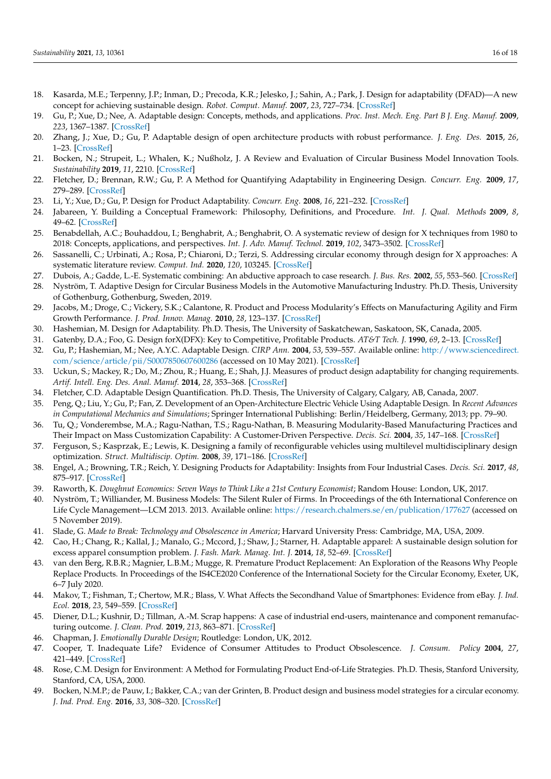- <span id="page-15-0"></span>18. Kasarda, M.E.; Terpenny, J.P.; Inman, D.; Precoda, K.R.; Jelesko, J.; Sahin, A.; Park, J. Design for adaptability (DFAD)—A new concept for achieving sustainable design. *Robot. Comput. Manuf.* **2007**, *23*, 727–734. [\[CrossRef\]](http://doi.org/10.1016/j.rcim.2007.02.004)
- <span id="page-15-1"></span>19. Gu, P.; Xue, D.; Nee, A. Adaptable design: Concepts, methods, and applications. *Proc. Inst. Mech. Eng. Part B J. Eng. Manuf.* **2009**, *223*, 1367–1387. [\[CrossRef\]](http://doi.org/10.1243/09544054JEM1387)
- <span id="page-15-2"></span>20. Zhang, J.; Xue, D.; Gu, P. Adaptable design of open architecture products with robust performance. *J. Eng. Des.* **2015**, *26*, 1–23. [\[CrossRef\]](http://doi.org/10.1080/09544828.2015.1012055)
- <span id="page-15-3"></span>21. Bocken, N.; Strupeit, L.; Whalen, K.; Nußholz, J. A Review and Evaluation of Circular Business Model Innovation Tools. *Sustainability* **2019**, *11*, 2210. [\[CrossRef\]](http://doi.org/10.3390/su11082210)
- <span id="page-15-4"></span>22. Fletcher, D.; Brennan, R.W.; Gu, P. A Method for Quantifying Adaptability in Engineering Design. *Concurr. Eng.* **2009**, *17*, 279–289. [\[CrossRef\]](http://doi.org/10.1177/1063293X09352123)
- <span id="page-15-5"></span>23. Li, Y.; Xue, D.; Gu, P. Design for Product Adaptability. *Concurr. Eng.* **2008**, *16*, 221–232. [\[CrossRef\]](http://doi.org/10.1177/1063293X08096178)
- <span id="page-15-6"></span>24. Jabareen, Y. Building a Conceptual Framework: Philosophy, Definitions, and Procedure. *Int. J. Qual. Methods* **2009**, *8*, 49–62. [\[CrossRef\]](http://doi.org/10.1177/160940690900800406)
- <span id="page-15-7"></span>25. Benabdellah, A.C.; Bouhaddou, I.; Benghabrit, A.; Benghabrit, O. A systematic review of design for X techniques from 1980 to 2018: Concepts, applications, and perspectives. *Int. J. Adv. Manuf. Technol.* **2019**, *102*, 3473–3502. [\[CrossRef\]](http://doi.org/10.1007/s00170-019-03418-6)
- <span id="page-15-8"></span>26. Sassanelli, C.; Urbinati, A.; Rosa, P.; Chiaroni, D.; Terzi, S. Addressing circular economy through design for X approaches: A systematic literature review. *Comput. Ind.* **2020**, *120*, 103245. [\[CrossRef\]](http://doi.org/10.1016/j.compind.2020.103245)
- <span id="page-15-9"></span>27. Dubois, A.; Gadde, L.-E. Systematic combining: An abductive approach to case research. *J. Bus. Res.* **2002**, *55*, 553–560. [\[CrossRef\]](http://doi.org/10.1016/S0148-2963(00)00195-8)
- <span id="page-15-10"></span>28. Nyström, T. Adaptive Design for Circular Business Models in the Automotive Manufacturing Industry. Ph.D. Thesis, University of Gothenburg, Gothenburg, Sweden, 2019.
- <span id="page-15-11"></span>29. Jacobs, M.; Droge, C.; Vickery, S.K.; Calantone, R. Product and Process Modularity's Effects on Manufacturing Agility and Firm Growth Performance. *J. Prod. Innov. Manag.* **2010**, *28*, 123–137. [\[CrossRef\]](http://doi.org/10.1111/j.1540-5885.2010.00785.x)
- <span id="page-15-12"></span>30. Hashemian, M. Design for Adaptability. Ph.D. Thesis, The University of Saskatchewan, Saskatoon, SK, Canada, 2005.
- <span id="page-15-13"></span>31. Gatenby, D.A.; Foo, G. Design forX(DFX): Key to Competitive, Profitable Products. *AT&T Tech. J.* **1990**, *69*, 2–13. [\[CrossRef\]](http://doi.org/10.1002/j.1538-7305.1990.tb00332.x)
- <span id="page-15-14"></span>32. Gu, P.; Hashemian, M.; Nee, A.Y.C. Adaptable Design. *CIRP Ann.* **2004**, *53*, 539–557. Available online: [http://www.sciencedirect.](http://www.sciencedirect.com/science/article/pii/S0007850607600286) [com/science/article/pii/S0007850607600286](http://www.sciencedirect.com/science/article/pii/S0007850607600286) (accessed on 10 May 2021). [\[CrossRef\]](http://doi.org/10.1016/S0007-8506(07)60028-6)
- <span id="page-15-15"></span>33. Uckun, S.; Mackey, R.; Do, M.; Zhou, R.; Huang, E.; Shah, J.J. Measures of product design adaptability for changing requirements. *Artif. Intell. Eng. Des. Anal. Manuf.* **2014**, *28*, 353–368. [\[CrossRef\]](http://doi.org/10.1017/S0890060414000523)
- <span id="page-15-16"></span>34. Fletcher, C.D. Adaptable Design Quantification. Ph.D. Thesis, The University of Calgary, Calgary, AB, Canada, 2007.
- <span id="page-15-17"></span>35. Peng, Q.; Liu, Y.; Gu, P.; Fan, Z. Development of an Open-Architecture Electric Vehicle Using Adaptable Design. In *Recent Advances in Computational Mechanics and Simulations*; Springer International Publishing: Berlin/Heidelberg, Germany, 2013; pp. 79–90.
- <span id="page-15-18"></span>36. Tu, Q.; Vonderembse, M.A.; Ragu-Nathan, T.S.; Ragu-Nathan, B. Measuring Modularity-Based Manufacturing Practices and Their Impact on Mass Customization Capability: A Customer-Driven Perspective. *Decis. Sci.* **2004**, *35*, 147–168. [\[CrossRef\]](http://doi.org/10.1111/j.00117315.2004.02663.x)
- <span id="page-15-19"></span>37. Ferguson, S.; Kasprzak, E.; Lewis, K. Designing a family of reconfigurable vehicles using multilevel multidisciplinary design optimization. *Struct. Multidiscip. Optim.* **2008**, *39*, 171–186. [\[CrossRef\]](http://doi.org/10.1007/s00158-008-0319-3)
- <span id="page-15-20"></span>38. Engel, A.; Browning, T.R.; Reich, Y. Designing Products for Adaptability: Insights from Four Industrial Cases. *Decis. Sci.* **2017**, *48*, 875–917. [\[CrossRef\]](http://doi.org/10.1111/deci.12254)
- <span id="page-15-21"></span>39. Raworth, K. *Doughnut Economics: Seven Ways to Think Like a 21st Century Economist*; Random House: London, UK, 2017.
- <span id="page-15-22"></span>40. Nyström, T.; Williander, M. Business Models: The Silent Ruler of Firms. In Proceedings of the 6th International Conference on Life Cycle Management—LCM 2013. 2013. Available online: <https://research.chalmers.se/en/publication/177627> (accessed on 5 November 2019).
- <span id="page-15-23"></span>41. Slade, G. *Made to Break: Technology and Obsolescence in America*; Harvard University Press: Cambridge, MA, USA, 2009.
- <span id="page-15-24"></span>42. Cao, H.; Chang, R.; Kallal, J.; Manalo, G.; Mccord, J.; Shaw, J.; Starner, H. Adaptable apparel: A sustainable design solution for excess apparel consumption problem. *J. Fash. Mark. Manag. Int. J.* **2014**, *18*, 52–69. [\[CrossRef\]](http://doi.org/10.1108/JFMM-08-2012-0046)
- <span id="page-15-25"></span>43. van den Berg, R.B.R.; Magnier, L.B.M.; Mugge, R. Premature Product Replacement: An Exploration of the Reasons Why People Replace Products. In Proceedings of the IS4CE2020 Conference of the International Society for the Circular Economy, Exeter, UK, 6–7 July 2020.
- <span id="page-15-26"></span>44. Makov, T.; Fishman, T.; Chertow, M.R.; Blass, V. What Affects the Secondhand Value of Smartphones: Evidence from eBay. *J. Ind. Ecol.* **2018**, *23*, 549–559. [\[CrossRef\]](http://doi.org/10.1111/jiec.12806)
- <span id="page-15-27"></span>45. Diener, D.L.; Kushnir, D.; Tillman, A.-M. Scrap happens: A case of industrial end-users, maintenance and component remanufacturing outcome. *J. Clean. Prod.* **2019**, *213*, 863–871. [\[CrossRef\]](http://doi.org/10.1016/j.jclepro.2018.12.186)
- 46. Chapman, J. *Emotionally Durable Design*; Routledge: London, UK, 2012.
- <span id="page-15-28"></span>47. Cooper, T. Inadequate Life? Evidence of Consumer Attitudes to Product Obsolescence. *J. Consum. Policy* **2004**, *27*, 421–449. [\[CrossRef\]](http://doi.org/10.1007/s10603-004-2284-6)
- <span id="page-15-29"></span>48. Rose, C.M. Design for Environment: A Method for Formulating Product End-of-Life Strategies. Ph.D. Thesis, Stanford University, Stanford, CA, USA, 2000.
- <span id="page-15-30"></span>49. Bocken, N.M.P.; de Pauw, I.; Bakker, C.A.; van der Grinten, B. Product design and business model strategies for a circular economy. *J. Ind. Prod. Eng.* **2016**, *33*, 308–320. [\[CrossRef\]](http://doi.org/10.1080/21681015.2016.1172124)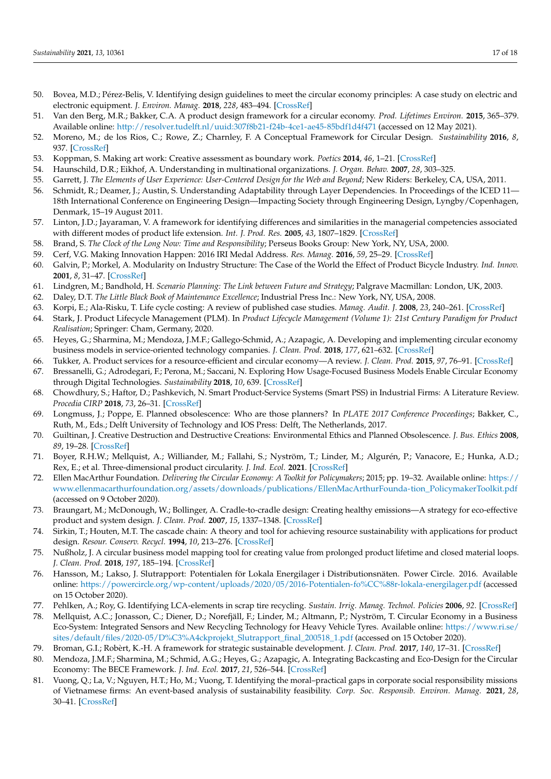- <span id="page-16-0"></span>50. Bovea, M.D.; Pérez-Belis, V. Identifying design guidelines to meet the circular economy principles: A case study on electric and electronic equipment. *J. Environ. Manag.* **2018**, *228*, 483–494. [\[CrossRef\]](http://doi.org/10.1016/j.jenvman.2018.08.014)
- <span id="page-16-1"></span>51. Van den Berg, M.R.; Bakker, C.A. A product design framework for a circular economy. *Prod. Lifetimes Environ.* **2015**, 365–379. Available online: <http://resolver.tudelft.nl/uuid:307f8b21-f24b-4ce1-ae45-85bdf1d4f471> (accessed on 12 May 2021).
- <span id="page-16-2"></span>52. Moreno, M.; de los Rios, C.; Rowe, Z.; Charnley, F. A Conceptual Framework for Circular Design. *Sustainability* **2016**, *8*, 937. [\[CrossRef\]](http://doi.org/10.3390/su8090937)
- <span id="page-16-3"></span>53. Koppman, S. Making art work: Creative assessment as boundary work. *Poetics* **2014**, *46*, 1–21. [\[CrossRef\]](http://doi.org/10.1016/j.poetic.2014.09.001)
- <span id="page-16-4"></span>54. Haunschild, D.R.; Eikhof, A. Understanding in multinational organizations. *J. Organ. Behav.* **2007**, *28*, 303–325.
- <span id="page-16-5"></span>55. Garrett, J. *The Elements of User Experience: User-Centered Design for the Web and Beyond*; New Riders: Berkeley, CA, USA, 2011.
- <span id="page-16-6"></span>56. Schmidt, R.; Deamer, J.; Austin, S. Understanding Adaptability through Layer Dependencies. In Proceedings of the ICED 11— 18th International Conference on Engineering Design—Impacting Society through Engineering Design, Lyngby/Copenhagen, Denmark, 15–19 August 2011.
- <span id="page-16-7"></span>57. Linton, J.D.; Jayaraman, V. A framework for identifying differences and similarities in the managerial competencies associated with different modes of product life extension. *Int. J. Prod. Res.* **2005**, *43*, 1807–1829. [\[CrossRef\]](http://doi.org/10.1080/13528160512331326440)
- <span id="page-16-8"></span>58. Brand, S. *The Clock of the Long Now: Time and Responsibility*; Perseus Books Group: New York, NY, USA, 2000.
- <span id="page-16-9"></span>59. Cerf, V.G. Making Innovation Happen: 2016 IRI Medal Address. *Res. Manag.* **2016**, *59*, 25–29. [\[CrossRef\]](http://doi.org/10.1080/08956308.2016.1232134)
- <span id="page-16-10"></span>60. Galvin, P.; Morkel, A. Modularity on Industry Structure: The Case of the World the Effect of Product Bicycle Industry. *Ind. Innov.* **2001**, *8*, 31–47. [\[CrossRef\]](http://doi.org/10.1080/13662710120034392)
- <span id="page-16-11"></span>61. Lindgren, M.; Bandhold, H. *Scenario Planning: The Link between Future and Strategy*; Palgrave Macmillan: London, UK, 2003.
- <span id="page-16-12"></span>62. Daley, D.T. *The Little Black Book of Maintenance Excellence*; Industrial Press Inc.: New York, NY, USA, 2008.
- <span id="page-16-13"></span>63. Korpi, E.; Ala-Risku, T. Life cycle costing: A review of published case studies. *Manag. Audit. J.* **2008**, *23*, 240–261. [\[CrossRef\]](http://doi.org/10.1108/02686900810857703)
- <span id="page-16-14"></span>64. Stark, J. Product Lifecycle Management (PLM). In *Product Lifecycle Management (Volume 1): 21st Century Paradigm for Product Realisation*; Springer: Cham, Germany, 2020.
- <span id="page-16-15"></span>65. Heyes, G.; Sharmina, M.; Mendoza, J.M.F.; Gallego-Schmid, A.; Azapagic, A. Developing and implementing circular economy business models in service-oriented technology companies. *J. Clean. Prod.* **2018**, *177*, 621–632. [\[CrossRef\]](http://doi.org/10.1016/j.jclepro.2017.12.168)
- <span id="page-16-16"></span>66. Tukker, A. Product services for a resource-efficient and circular economy—A review. *J. Clean. Prod.* **2015**, *97*, 76–91. [\[CrossRef\]](http://doi.org/10.1016/j.jclepro.2013.11.049)
- <span id="page-16-17"></span>67. Bressanelli, G.; Adrodegari, F.; Perona, M.; Saccani, N. Exploring How Usage-Focused Business Models Enable Circular Economy through Digital Technologies. *Sustainability* **2018**, *10*, 639. [\[CrossRef\]](http://doi.org/10.3390/su10030639)
- <span id="page-16-18"></span>68. Chowdhury, S.; Haftor, D.; Pashkevich, N. Smart Product-Service Systems (Smart PSS) in Industrial Firms: A Literature Review. *Procedia CIRP* **2018**, *73*, 26–31. [\[CrossRef\]](http://doi.org/10.1016/j.procir.2018.03.333)
- <span id="page-16-19"></span>69. Longmuss, J.; Poppe, E. Planned obsolescence: Who are those planners? In *PLATE 2017 Conference Proceedings*; Bakker, C., Ruth, M., Eds.; Delft University of Technology and IOS Press: Delft, The Netherlands, 2017.
- <span id="page-16-20"></span>70. Guiltinan, J. Creative Destruction and Destructive Creations: Environmental Ethics and Planned Obsolescence. *J. Bus. Ethics* **2008**, *89*, 19–28. [\[CrossRef\]](http://doi.org/10.1007/s10551-008-9907-9)
- <span id="page-16-21"></span>71. Boyer, R.H.W.; Mellquist, A.; Williander, M.; Fallahi, S.; Nyström, T.; Linder, M.; Algurén, P.; Vanacore, E.; Hunka, A.D.; Rex, E.; et al. Three-dimensional product circularity. *J. Ind. Ecol.* **2021**. [\[CrossRef\]](http://doi.org/10.1111/jiec.13109)
- <span id="page-16-22"></span>72. Ellen MacArthur Foundation. *Delivering the Circular Economy: A Toolkit for Policymakers*; 2015; pp. 19–32. Available online: [https://](https://www.ellenmacarthurfoundation.org/assets/downloads/publications/EllenMacArthurFounda-tion_PolicymakerToolkit.pdf) [www.ellenmacarthurfoundation.org/assets/downloads/publications/EllenMacArthurFounda-tion\\_PolicymakerToolkit.pdf](https://www.ellenmacarthurfoundation.org/assets/downloads/publications/EllenMacArthurFounda-tion_PolicymakerToolkit.pdf) (accessed on 9 October 2020).
- <span id="page-16-23"></span>73. Braungart, M.; McDonough, W.; Bollinger, A. Cradle-to-cradle design: Creating healthy emissions—A strategy for eco-effective product and system design. *J. Clean. Prod.* **2007**, *15*, 1337–1348. [\[CrossRef\]](http://doi.org/10.1016/j.jclepro.2006.08.003)
- <span id="page-16-24"></span>74. Sirkin, T.; Houten, M.T. The cascade chain: A theory and tool for achieving resource sustainability with applications for product design. *Resour. Conserv. Recycl.* **1994**, *10*, 213–276. [\[CrossRef\]](http://doi.org/10.1016/0921-3449(94)90016-7)
- <span id="page-16-25"></span>75. Nußholz, J. A circular business model mapping tool for creating value from prolonged product lifetime and closed material loops. *J. Clean. Prod.* **2018**, *197*, 185–194. [\[CrossRef\]](http://doi.org/10.1016/j.jclepro.2018.06.112)
- <span id="page-16-26"></span>76. Hansson, M.; Lakso, J. Slutrapport: Potentialen för Lokala Energilager i Distributionsnäten. Power Circle. 2016. Available online: <https://powercircle.org/wp-content/uploads/2020/05/2016-Potentialen-fo%CC%88r-lokala-energilager.pdf> (accessed on 15 October 2020).
- <span id="page-16-27"></span>77. Pehlken, A.; Roy, G. Identifying LCA-elements in scrap tire recycling. *Sustain. Irrig. Manag. Technol. Policies* **2006**, *92*. [\[CrossRef\]](http://doi.org/10.2495/wm060351)
- <span id="page-16-28"></span>78. Mellquist, A.C.; Jonasson, C.; Diener, D.; Norefjäll, F.; Linder, M.; Altmann, P.; Nyström, T. Circular Economy in a Business Eco-System: Integrated Sensors and New Recycling Technology for Heavy Vehicle Tyres. Available online: [https://www.ri.se/](https://www.ri.se/sites/default/files/2020-05/D%C3%A4ckprojekt_Slutrapport_final_200518_1.pdf) [sites/default/files/2020-05/D%C3%A4ckprojekt\\_Slutrapport\\_final\\_200518\\_1.pdf](https://www.ri.se/sites/default/files/2020-05/D%C3%A4ckprojekt_Slutrapport_final_200518_1.pdf) (accessed on 15 October 2020).
- <span id="page-16-29"></span>79. Broman, G.I.; Robèrt, K.-H. A framework for strategic sustainable development. *J. Clean. Prod.* **2017**, *140*, 17–31. [\[CrossRef\]](http://doi.org/10.1016/j.jclepro.2015.10.121)
- <span id="page-16-30"></span>80. Mendoza, J.M.F.; Sharmina, M.; Schmid, A.G.; Heyes, G.; Azapagic, A. Integrating Backcasting and Eco-Design for the Circular Economy: The BECE Framework. *J. Ind. Ecol.* **2017**, *21*, 526–544. [\[CrossRef\]](http://doi.org/10.1111/jiec.12590)
- <span id="page-16-31"></span>81. Vuong, Q.; La, V.; Nguyen, H.T.; Ho, M.; Vuong, T. Identifying the moral–practical gaps in corporate social responsibility missions of Vietnamese firms: An event-based analysis of sustainability feasibility. *Corp. Soc. Responsib. Environ. Manag.* **2021**, *28*, 30–41. [\[CrossRef\]](http://doi.org/10.1002/csr.2029)